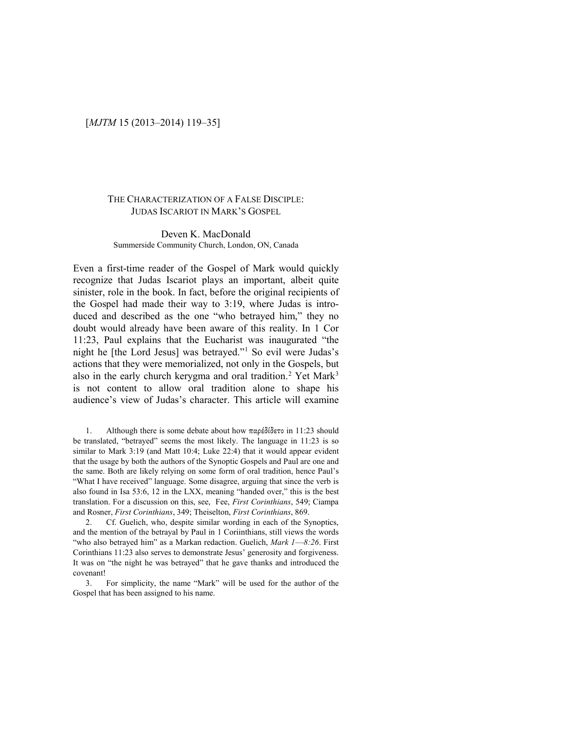# [*MJTM* 15 (2013–2014) 119–35]

### THE CHARACTERIZATION OF A FALSE DISCIPLE: JUDAS ISCARIOT IN MARK'S GOSPEL

### Deven K. MacDonald Summerside Community Church, London, ON, Canada

Even a first-time reader of the Gospel of Mark would quickly recognize that Judas Iscariot plays an important, albeit quite sinister, role in the book. In fact, before the original recipients of the Gospel had made their way to 3:19, where Judas is introduced and described as the one "who betrayed him," they no doubt would already have been aware of this reality. In 1 Cor 11:23, Paul explains that the Eucharist was inaugurated "the night he [the Lord Jesus] was betrayed."[1](#page-0-0) So evil were Judas's actions that they were memorialized, not only in the Gospels, but also in the early church kerygma and oral tradition.<sup>[2](#page-0-1)</sup> Yet Mark<sup>[3](#page-0-2)</sup> is not content to allow oral tradition alone to shape his audience's view of Judas's character. This article will examine

<span id="page-0-0"></span>1. Although there is some debate about how παρέδίδετο in 11:23 should be translated, "betrayed" seems the most likely. The language in 11:23 is so similar to Mark 3:19 (and Matt 10:4; Luke 22:4) that it would appear evident that the usage by both the authors of the Synoptic Gospels and Paul are one and the same. Both are likely relying on some form of oral tradition, hence Paul's "What I have received" language. Some disagree, arguing that since the verb is also found in Isa 53:6, 12 in the LXX, meaning "handed over," this is the best translation. For a discussion on this, see, Fee, *First Corinthians*, 549; Ciampa and Rosner, *First Corinthians*, 349; Theiselton, *First Corinthians*, 869.

<span id="page-0-1"></span>2. Cf. Guelich, who, despite similar wording in each of the Synoptics, and the mention of the betrayal by Paul in 1 Coriinthians, still views the words "who also betrayed him" as a Markan redaction. Guelich, *Mark 1*—*8:26*. First Corinthians 11:23 also serves to demonstrate Jesus' generosity and forgiveness. It was on "the night he was betrayed" that he gave thanks and introduced the covenant!

<span id="page-0-2"></span>3. For simplicity, the name "Mark" will be used for the author of the Gospel that has been assigned to his name.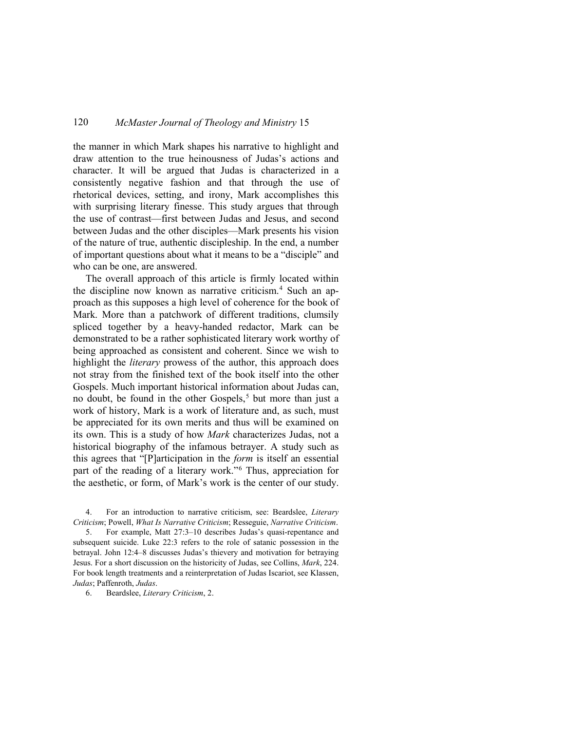the manner in which Mark shapes his narrative to highlight and draw attention to the true heinousness of Judas's actions and character. It will be argued that Judas is characterized in a consistently negative fashion and that through the use of rhetorical devices, setting, and irony, Mark accomplishes this with surprising literary finesse. This study argues that through the use of contrast—first between Judas and Jesus, and second between Judas and the other disciples—Mark presents his vision of the nature of true, authentic discipleship. In the end, a number of important questions about what it means to be a "disciple" and who can be one, are answered.

The overall approach of this article is firmly located within the discipline now known as narrative criticism.<sup>[4](#page-1-0)</sup> Such an approach as this supposes a high level of coherence for the book of Mark. More than a patchwork of different traditions, clumsily spliced together by a heavy-handed redactor, Mark can be demonstrated to be a rather sophisticated literary work worthy of being approached as consistent and coherent. Since we wish to highlight the *literary* prowess of the author, this approach does not stray from the finished text of the book itself into the other Gospels. Much important historical information about Judas can, no doubt, be found in the other Gospels,<sup>[5](#page-1-1)</sup> but more than just a work of history, Mark is a work of literature and, as such, must be appreciated for its own merits and thus will be examined on its own. This is a study of how *Mark* characterizes Judas, not a historical biography of the infamous betrayer. A study such as this agrees that "[P]articipation in the *form* is itself an essential part of the reading of a literary work."[6](#page-1-2) Thus, appreciation for the aesthetic, or form, of Mark's work is the center of our study.

<span id="page-1-0"></span>4. For an introduction to narrative criticism, see: Beardslee, *Literary Criticism*; Powell, *What Is Narrative Criticism*; Resseguie, *Narrative Criticism*.

<span id="page-1-1"></span>5. For example, Matt 27:3–10 describes Judas's quasi-repentance and subsequent suicide. Luke 22:3 refers to the role of satanic possession in the betrayal. John 12:4–8 discusses Judas's thievery and motivation for betraying Jesus. For a short discussion on the historicity of Judas, see Collins, *Mark*, 224. For book length treatments and a reinterpretation of Judas Iscariot, see Klassen, *Judas*; Paffenroth, *Judas*.

<span id="page-1-2"></span>6. Beardslee, *Literary Criticism*, 2.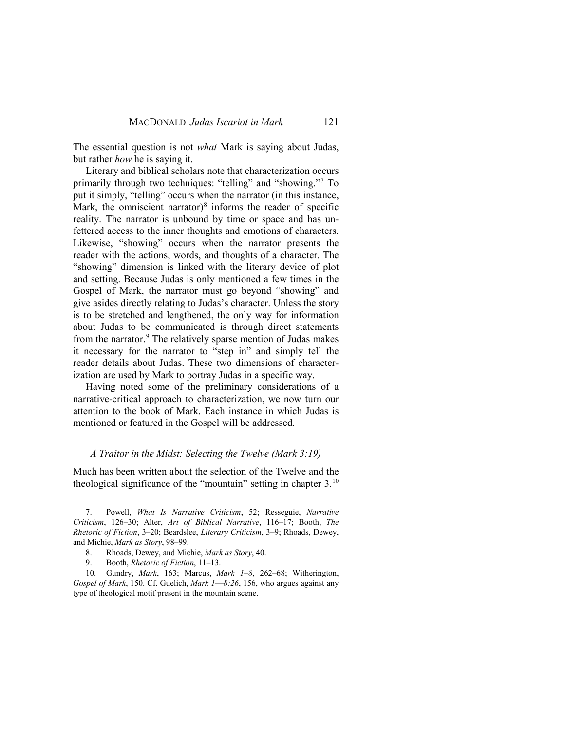The essential question is not *what* Mark is saying about Judas, but rather *how* he is saying it.

Literary and biblical scholars note that characterization occurs primarily through two techniques: "telling" and "showing."[7](#page-2-0) To put it simply, "telling" occurs when the narrator (in this instance, Mark, the omniscient narrator) $\delta$  informs the reader of specific reality. The narrator is unbound by time or space and has unfettered access to the inner thoughts and emotions of characters. Likewise, "showing" occurs when the narrator presents the reader with the actions, words, and thoughts of a character. The "showing" dimension is linked with the literary device of plot and setting. Because Judas is only mentioned a few times in the Gospel of Mark, the narrator must go beyond "showing" and give asides directly relating to Judas's character. Unless the story is to be stretched and lengthened, the only way for information about Judas to be communicated is through direct statements from the narrator.<sup>[9](#page-2-2)</sup> The relatively sparse mention of Judas makes it necessary for the narrator to "step in" and simply tell the reader details about Judas. These two dimensions of characterization are used by Mark to portray Judas in a specific way.

Having noted some of the preliminary considerations of a narrative-critical approach to characterization, we now turn our attention to the book of Mark. Each instance in which Judas is mentioned or featured in the Gospel will be addressed.

### *A Traitor in the Midst: Selecting the Twelve (Mark 3:19)*

Much has been written about the selection of the Twelve and the theological significance of the "mountain" setting in chapter 3.[10](#page-2-3)

<span id="page-2-0"></span>7. Powell, *What Is Narrative Criticism*, 52; Resseguie, *Narrative Criticism*, 126–30; Alter, *Art of Biblical Narrative*, 116–17; Booth, *The Rhetoric of Fiction*, 3–20; Beardslee, *Literary Criticism*, 3–9; Rhoads, Dewey, and Michie, *Mark as Story*, 98–99.

- 8. Rhoads, Dewey, and Michie, *Mark as Story*, 40.
- 9. Booth, *Rhetoric of Fiction*, 11–13.

<span id="page-2-3"></span><span id="page-2-2"></span><span id="page-2-1"></span>10. Gundry, *Mark*, 163; Marcus, *Mark 1–8*, 262–68; Witherington, *Gospel of Mark*, 150. Cf. Guelich, *Mark 1*—*8:26*, 156, who argues against any type of theological motif present in the mountain scene.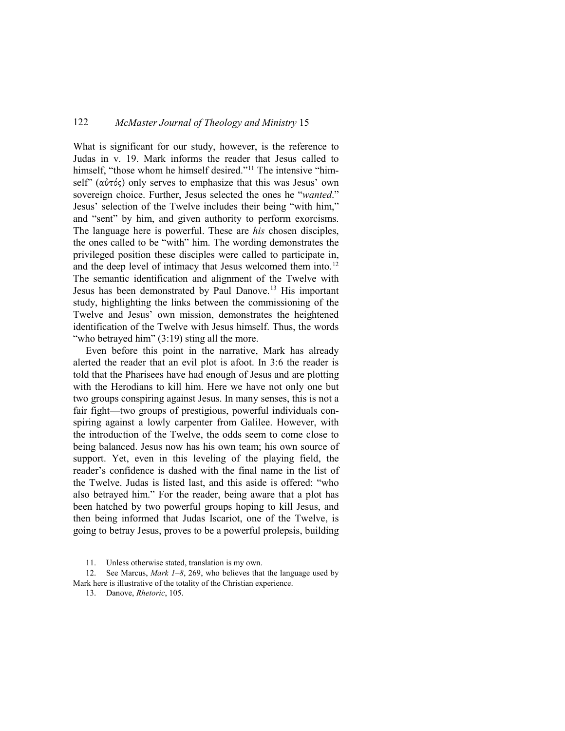What is significant for our study, however, is the reference to Judas in v. 19. Mark informs the reader that Jesus called to himself, "those whom he himself desired."<sup>[11](#page-3-0)</sup> The intensive "himself" (αὐτός) only serves to emphasize that this was Jesus' own sovereign choice. Further, Jesus selected the ones he "*wanted*." Jesus' selection of the Twelve includes their being "with him," and "sent" by him, and given authority to perform exorcisms. The language here is powerful. These are *his* chosen disciples, the ones called to be "with" him. The wording demonstrates the privileged position these disciples were called to participate in, and the deep level of intimacy that Jesus welcomed them into.<sup>[12](#page-3-1)</sup> The semantic identification and alignment of the Twelve with Jesus has been demonstrated by Paul Danove.[13](#page-3-2) His important study, highlighting the links between the commissioning of the Twelve and Jesus' own mission, demonstrates the heightened identification of the Twelve with Jesus himself. Thus, the words "who betrayed him" (3:19) sting all the more.

Even before this point in the narrative, Mark has already alerted the reader that an evil plot is afoot. In 3:6 the reader is told that the Pharisees have had enough of Jesus and are plotting with the Herodians to kill him. Here we have not only one but two groups conspiring against Jesus. In many senses, this is not a fair fight—two groups of prestigious, powerful individuals conspiring against a lowly carpenter from Galilee. However, with the introduction of the Twelve, the odds seem to come close to being balanced. Jesus now has his own team; his own source of support. Yet, even in this leveling of the playing field, the reader's confidence is dashed with the final name in the list of the Twelve. Judas is listed last, and this aside is offered: "who also betrayed him." For the reader, being aware that a plot has been hatched by two powerful groups hoping to kill Jesus, and then being informed that Judas Iscariot, one of the Twelve, is going to betray Jesus, proves to be a powerful prolepsis, building

11. Unless otherwise stated, translation is my own.

<span id="page-3-2"></span><span id="page-3-1"></span><span id="page-3-0"></span>12. See Marcus, *Mark 1–8*, 269, who believes that the language used by Mark here is illustrative of the totality of the Christian experience.

13. Danove, *Rhetoric*, 105.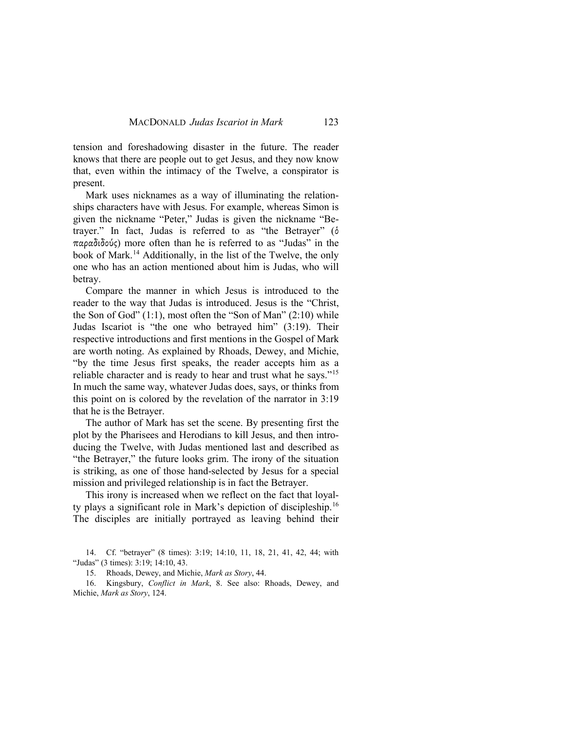tension and foreshadowing disaster in the future. The reader knows that there are people out to get Jesus, and they now know that, even within the intimacy of the Twelve, a conspirator is present.

Mark uses nicknames as a way of illuminating the relationships characters have with Jesus. For example, whereas Simon is given the nickname "Peter," Judas is given the nickname "Betrayer." In fact, Judas is referred to as "the Betrayer" (ὁ παραδιδούς) more often than he is referred to as "Judas" in the book of Mark.[14](#page-4-0) Additionally, in the list of the Twelve, the only one who has an action mentioned about him is Judas, who will betray.

Compare the manner in which Jesus is introduced to the reader to the way that Judas is introduced. Jesus is the "Christ, the Son of God" (1:1), most often the "Son of Man" (2:10) while Judas Iscariot is "the one who betrayed him" (3:19). Their respective introductions and first mentions in the Gospel of Mark are worth noting. As explained by Rhoads, Dewey, and Michie, "by the time Jesus first speaks, the reader accepts him as a reliable character and is ready to hear and trust what he says."[15](#page-4-1) In much the same way, whatever Judas does, says, or thinks from this point on is colored by the revelation of the narrator in 3:19 that he is the Betrayer.

The author of Mark has set the scene. By presenting first the plot by the Pharisees and Herodians to kill Jesus, and then introducing the Twelve, with Judas mentioned last and described as "the Betrayer," the future looks grim. The irony of the situation is striking, as one of those hand-selected by Jesus for a special mission and privileged relationship is in fact the Betrayer.

This irony is increased when we reflect on the fact that loyalty plays a significant role in Mark's depiction of discipleship.[16](#page-4-2) The disciples are initially portrayed as leaving behind their

<span id="page-4-2"></span><span id="page-4-1"></span>16. Kingsbury, *Conflict in Mark*, 8. See also: Rhoads, Dewey, and Michie, *Mark as Story*, 124.

<span id="page-4-0"></span><sup>14.</sup> Cf. "betrayer" (8 times): 3:19; 14:10, 11, 18, 21, 41, 42, 44; with "Judas" (3 times): 3:19; 14:10, 43.

<sup>15.</sup> Rhoads, Dewey, and Michie, *Mark as Story*, 44.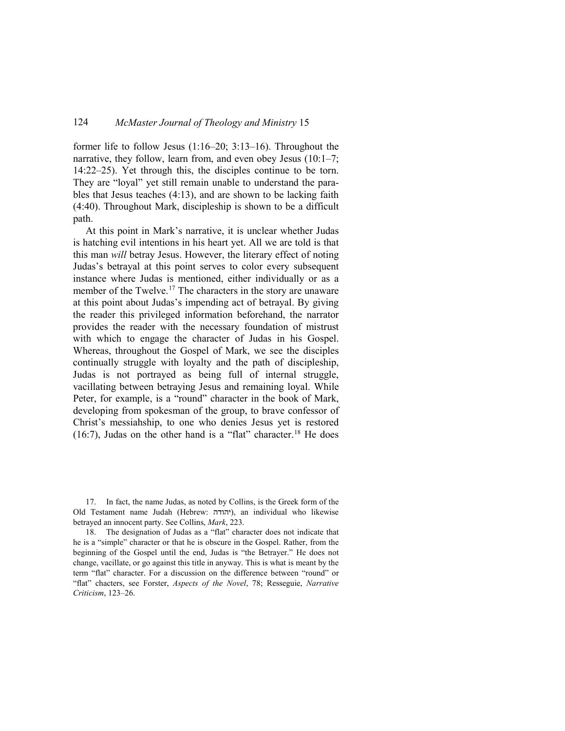former life to follow Jesus (1:16–20; 3:13–16). Throughout the narrative, they follow, learn from, and even obey Jesus (10:1–7; 14:22–25). Yet through this, the disciples continue to be torn. They are "loyal" yet still remain unable to understand the parables that Jesus teaches (4:13), and are shown to be lacking faith (4:40). Throughout Mark, discipleship is shown to be a difficult path.

At this point in Mark's narrative, it is unclear whether Judas is hatching evil intentions in his heart yet. All we are told is that this man *will* betray Jesus. However, the literary effect of noting Judas's betrayal at this point serves to color every subsequent instance where Judas is mentioned, either individually or as a member of the Twelve.[17](#page-5-0) The characters in the story are unaware at this point about Judas's impending act of betrayal. By giving the reader this privileged information beforehand, the narrator provides the reader with the necessary foundation of mistrust with which to engage the character of Judas in his Gospel. Whereas, throughout the Gospel of Mark, we see the disciples continually struggle with loyalty and the path of discipleship, Judas is not portrayed as being full of internal struggle, vacillating between betraying Jesus and remaining loyal. While Peter, for example, is a "round" character in the book of Mark, developing from spokesman of the group, to brave confessor of Christ's messiahship, to one who denies Jesus yet is restored (16:7), Judas on the other hand is a "flat" character.<sup>[18](#page-5-1)</sup> He does

<span id="page-5-0"></span>17. In fact, the name Judas, as noted by Collins, is the Greek form of the Old Testament name Judah (Hebrew: יהודה), an individual who likewise betrayed an innocent party. See Collins, *Mark*, 223.

<span id="page-5-1"></span>18. The designation of Judas as a "flat" character does not indicate that he is a "simple" character or that he is obscure in the Gospel. Rather, from the beginning of the Gospel until the end, Judas is "the Betrayer." He does not change, vacillate, or go against this title in anyway. This is what is meant by the term "flat" character. For a discussion on the difference between "round" or "flat" chacters, see Forster, *Aspects of the Novel*, 78; Resseguie, *Narrative Criticism*, 123–26.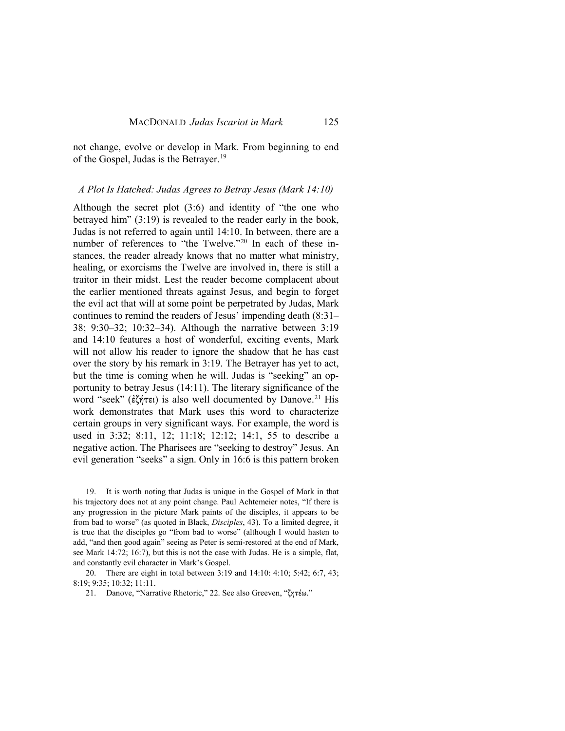not change, evolve or develop in Mark. From beginning to end of the Gospel, Judas is the Betrayer.[19](#page-6-0)

#### *A Plot Is Hatched: Judas Agrees to Betray Jesus (Mark 14:10)*

Although the secret plot (3:6) and identity of "the one who betrayed him" (3:19) is revealed to the reader early in the book, Judas is not referred to again until 14:10. In between, there are a number of references to "the Twelve."[20](#page-6-1) In each of these instances, the reader already knows that no matter what ministry, healing, or exorcisms the Twelve are involved in, there is still a traitor in their midst. Lest the reader become complacent about the earlier mentioned threats against Jesus, and begin to forget the evil act that will at some point be perpetrated by Judas, Mark continues to remind the readers of Jesus' impending death (8:31– 38; 9:30–32; 10:32–34). Although the narrative between 3:19 and 14:10 features a host of wonderful, exciting events, Mark will not allow his reader to ignore the shadow that he has cast over the story by his remark in 3:19. The Betrayer has yet to act, but the time is coming when he will. Judas is "seeking" an opportunity to betray Jesus (14:11). The literary significance of the word "seek" (ἐζήτει) is also well documented by Danove.<sup>[21](#page-6-2)</sup> His work demonstrates that Mark uses this word to characterize certain groups in very significant ways. For example, the word is used in 3:32; 8:11, 12; 11:18; 12:12; 14:1, 55 to describe a negative action. The Pharisees are "seeking to destroy" Jesus. An evil generation "seeks" a sign. Only in 16:6 is this pattern broken

<span id="page-6-0"></span>19. It is worth noting that Judas is unique in the Gospel of Mark in that his trajectory does not at any point change. Paul Achtemeier notes, "If there is any progression in the picture Mark paints of the disciples, it appears to be from bad to worse" (as quoted in Black, *Disciples*, 43). To a limited degree, it is true that the disciples go "from bad to worse" (although I would hasten to add, "and then good again" seeing as Peter is semi-restored at the end of Mark, see Mark 14:72; 16:7), but this is not the case with Judas. He is a simple, flat, and constantly evil character in Mark's Gospel.

<span id="page-6-2"></span><span id="page-6-1"></span>20. There are eight in total between 3:19 and 14:10: 4:10; 5:42; 6:7, 43; 8:19; 9:35; 10:32; 11:11.

21. Danove, "Narrative Rhetoric," 22. See also Greeven, "ζητέω."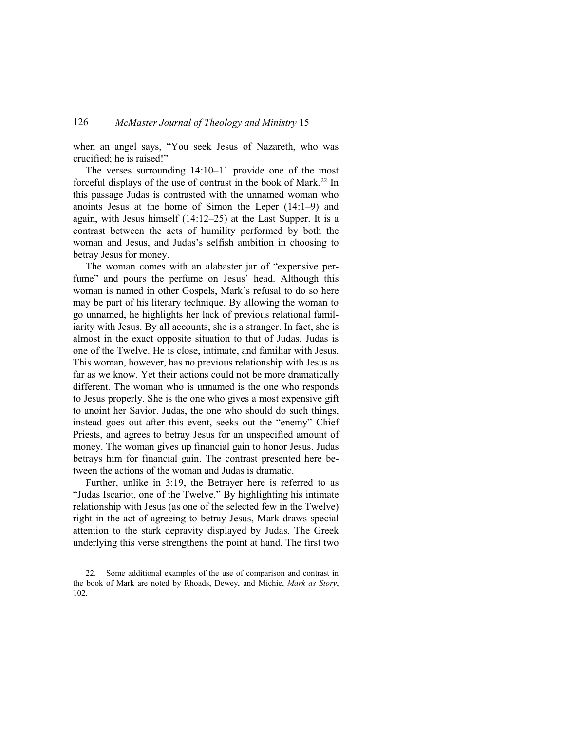when an angel says, "You seek Jesus of Nazareth, who was crucified; he is raised!"

The verses surrounding 14:10–11 provide one of the most forceful displays of the use of contrast in the book of Mark.<sup>[22](#page-7-0)</sup> In this passage Judas is contrasted with the unnamed woman who anoints Jesus at the home of Simon the Leper (14:1–9) and again, with Jesus himself (14:12–25) at the Last Supper. It is a contrast between the acts of humility performed by both the woman and Jesus, and Judas's selfish ambition in choosing to betray Jesus for money.

The woman comes with an alabaster jar of "expensive perfume" and pours the perfume on Jesus' head. Although this woman is named in other Gospels, Mark's refusal to do so here may be part of his literary technique. By allowing the woman to go unnamed, he highlights her lack of previous relational familiarity with Jesus. By all accounts, she is a stranger. In fact, she is almost in the exact opposite situation to that of Judas. Judas is one of the Twelve. He is close, intimate, and familiar with Jesus. This woman, however, has no previous relationship with Jesus as far as we know. Yet their actions could not be more dramatically different. The woman who is unnamed is the one who responds to Jesus properly. She is the one who gives a most expensive gift to anoint her Savior. Judas, the one who should do such things, instead goes out after this event, seeks out the "enemy" Chief Priests, and agrees to betray Jesus for an unspecified amount of money. The woman gives up financial gain to honor Jesus. Judas betrays him for financial gain. The contrast presented here between the actions of the woman and Judas is dramatic.

Further, unlike in 3:19, the Betrayer here is referred to as "Judas Iscariot, one of the Twelve." By highlighting his intimate relationship with Jesus (as one of the selected few in the Twelve) right in the act of agreeing to betray Jesus, Mark draws special attention to the stark depravity displayed by Judas. The Greek underlying this verse strengthens the point at hand. The first two

<span id="page-7-0"></span><sup>22.</sup> Some additional examples of the use of comparison and contrast in the book of Mark are noted by Rhoads, Dewey, and Michie, *Mark as Story*, 102.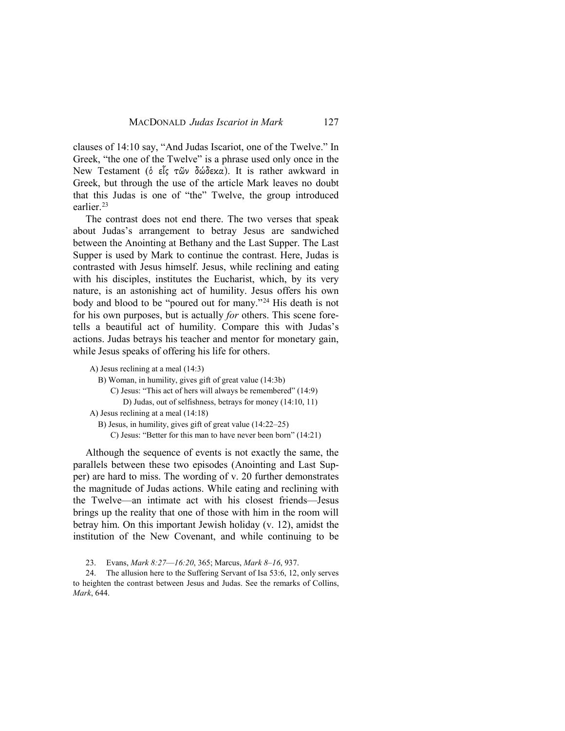clauses of 14:10 say, "And Judas Iscariot, one of the Twelve." In Greek, "the one of the Twelve" is a phrase used only once in the New Testament (ὁ εἷς τῶν δώδεκα). It is rather awkward in Greek, but through the use of the article Mark leaves no doubt that this Judas is one of "the" Twelve, the group introduced earlier.<sup>[23](#page-8-0)</sup>

The contrast does not end there. The two verses that speak about Judas's arrangement to betray Jesus are sandwiched between the Anointing at Bethany and the Last Supper. The Last Supper is used by Mark to continue the contrast. Here, Judas is contrasted with Jesus himself. Jesus, while reclining and eating with his disciples, institutes the Eucharist, which, by its very nature, is an astonishing act of humility. Jesus offers his own body and blood to be "poured out for many."[24](#page-8-1) His death is not for his own purposes, but is actually *for* others. This scene foretells a beautiful act of humility. Compare this with Judas's actions. Judas betrays his teacher and mentor for monetary gain, while Jesus speaks of offering his life for others.

```
A) Jesus reclining at a meal (14:3)
  B) Woman, in humility, gives gift of great value (14:3b)
      C) Jesus: "This act of hers will always be remembered" (14:9)
          D) Judas, out of selfishness, betrays for money (14:10, 11)
A) Jesus reclining at a meal (14:18)
  B) Jesus, in humility, gives gift of great value (14:22–25)
      C) Jesus: "Better for this man to have never been born" (14:21)
```
Although the sequence of events is not exactly the same, the parallels between these two episodes (Anointing and Last Supper) are hard to miss. The wording of v. 20 further demonstrates the magnitude of Judas actions. While eating and reclining with the Twelve—an intimate act with his closest friends—Jesus brings up the reality that one of those with him in the room will betray him. On this important Jewish holiday (v. 12), amidst the institution of the New Covenant, and while continuing to be

23. Evans, *Mark 8:27*—*16:20*, 365; Marcus, *Mark 8–16*, 937.

<span id="page-8-1"></span><span id="page-8-0"></span>24. The allusion here to the Suffering Servant of Isa 53:6, 12, only serves to heighten the contrast between Jesus and Judas. See the remarks of Collins, *Mark*, 644.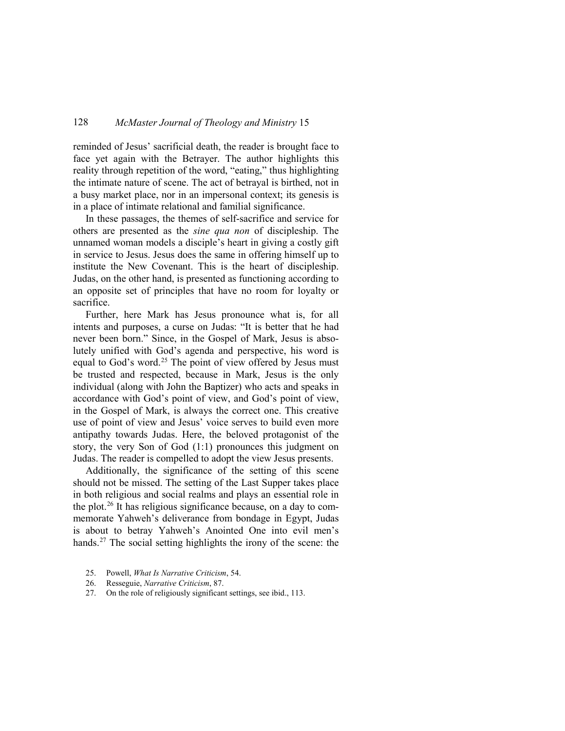reminded of Jesus' sacrificial death, the reader is brought face to face yet again with the Betrayer. The author highlights this reality through repetition of the word, "eating," thus highlighting the intimate nature of scene. The act of betrayal is birthed, not in a busy market place, nor in an impersonal context; its genesis is in a place of intimate relational and familial significance.

In these passages, the themes of self-sacrifice and service for others are presented as the *sine qua non* of discipleship. The unnamed woman models a disciple's heart in giving a costly gift in service to Jesus. Jesus does the same in offering himself up to institute the New Covenant. This is the heart of discipleship. Judas, on the other hand, is presented as functioning according to an opposite set of principles that have no room for loyalty or sacrifice.

Further, here Mark has Jesus pronounce what is, for all intents and purposes, a curse on Judas: "It is better that he had never been born." Since, in the Gospel of Mark, Jesus is absolutely unified with God's agenda and perspective, his word is equal to God's word.<sup>[25](#page-9-0)</sup> The point of view offered by Jesus must be trusted and respected, because in Mark, Jesus is the only individual (along with John the Baptizer) who acts and speaks in accordance with God's point of view, and God's point of view, in the Gospel of Mark, is always the correct one. This creative use of point of view and Jesus' voice serves to build even more antipathy towards Judas. Here, the beloved protagonist of the story, the very Son of God (1:1) pronounces this judgment on Judas. The reader is compelled to adopt the view Jesus presents.

Additionally, the significance of the setting of this scene should not be missed. The setting of the Last Supper takes place in both religious and social realms and plays an essential role in the plot.[26](#page-9-1) It has religious significance because, on a day to commemorate Yahweh's deliverance from bondage in Egypt, Judas is about to betray Yahweh's Anointed One into evil men's hands.<sup>[27](#page-9-2)</sup> The social setting highlights the irony of the scene: the

- <span id="page-9-0"></span>25. Powell, *What Is Narrative Criticism*, 54.
- <span id="page-9-1"></span>26. Resseguie, *Narrative Criticism*, 87.
- <span id="page-9-2"></span>27. On the role of religiously significant settings, see ibid., 113.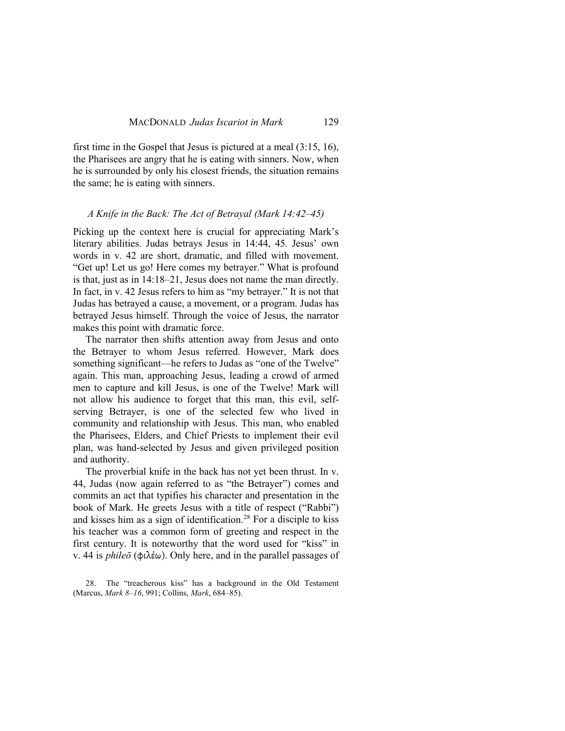first time in the Gospel that Jesus is pictured at a meal (3:15, 16), the Pharisees are angry that he is eating with sinners. Now, when he is surrounded by only his closest friends, the situation remains the same; he is eating with sinners.

#### *A Knife in the Back: The Act of Betrayal (Mark 14:42–45)*

Picking up the context here is crucial for appreciating Mark's literary abilities. Judas betrays Jesus in 14:44, 45. Jesus' own words in v. 42 are short, dramatic, and filled with movement. "Get up! Let us go! Here comes my betrayer." What is profound is that, just as in 14:18–21, Jesus does not name the man directly. In fact, in v. 42 Jesus refers to him as "my betrayer." It is not that Judas has betrayed a cause, a movement, or a program. Judas has betrayed Jesus himself. Through the voice of Jesus, the narrator makes this point with dramatic force.

The narrator then shifts attention away from Jesus and onto the Betrayer to whom Jesus referred. However, Mark does something significant—he refers to Judas as "one of the Twelve" again. This man, approaching Jesus, leading a crowd of armed men to capture and kill Jesus, is one of the Twelve! Mark will not allow his audience to forget that this man, this evil, selfserving Betrayer, is one of the selected few who lived in community and relationship with Jesus. This man, who enabled the Pharisees, Elders, and Chief Priests to implement their evil plan, was hand-selected by Jesus and given privileged position and authority.

The proverbial knife in the back has not yet been thrust. In v. 44, Judas (now again referred to as "the Betrayer") comes and commits an act that typifies his character and presentation in the book of Mark. He greets Jesus with a title of respect ("Rabbi") and kisses him as a sign of identification.<sup>[28](#page-10-0)</sup> For a disciple to kiss his teacher was a common form of greeting and respect in the first century. It is noteworthy that the word used for "kiss" in v. 44 is *phileō* (φιλέω). Only here, and in the parallel passages of

<span id="page-10-0"></span>28. The "treacherous kiss" has a background in the Old Testament (Marcus, *Mark 8–16*, 991; Collins, *Mark*, 684–85).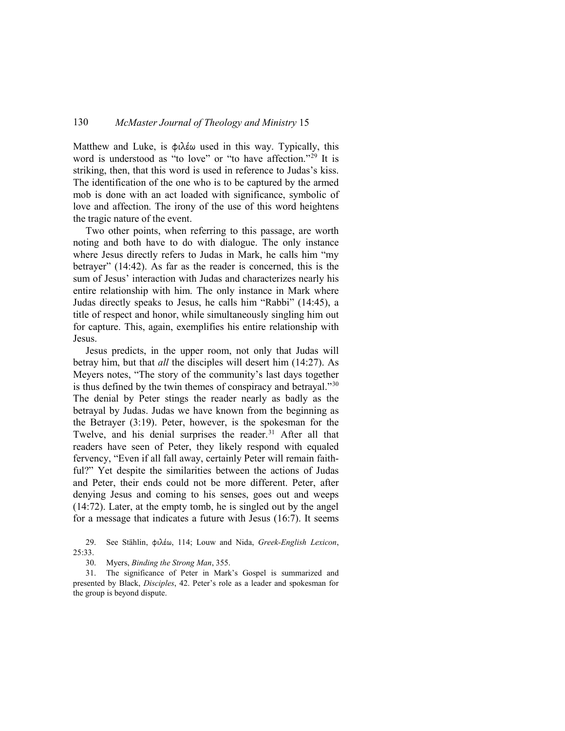Matthew and Luke, is φιλέω used in this way. Typically, this word is understood as "to love" or "to have affection."<sup>[29](#page-11-0)</sup> It is striking, then, that this word is used in reference to Judas's kiss. The identification of the one who is to be captured by the armed mob is done with an act loaded with significance, symbolic of love and affection. The irony of the use of this word heightens the tragic nature of the event.

Two other points, when referring to this passage, are worth noting and both have to do with dialogue. The only instance where Jesus directly refers to Judas in Mark, he calls him "my betrayer" (14:42). As far as the reader is concerned, this is the sum of Jesus' interaction with Judas and characterizes nearly his entire relationship with him. The only instance in Mark where Judas directly speaks to Jesus, he calls him "Rabbi" (14:45), a title of respect and honor, while simultaneously singling him out for capture. This, again, exemplifies his entire relationship with Jesus.

Jesus predicts, in the upper room, not only that Judas will betray him, but that *all* the disciples will desert him (14:27). As Meyers notes, "The story of the community's last days together is thus defined by the twin themes of conspiracy and betrayal."[30](#page-11-1) The denial by Peter stings the reader nearly as badly as the betrayal by Judas. Judas we have known from the beginning as the Betrayer (3:19). Peter, however, is the spokesman for the Twelve, and his denial surprises the reader.<sup>[31](#page-11-2)</sup> After all that readers have seen of Peter, they likely respond with equaled fervency, "Even if all fall away, certainly Peter will remain faithful?" Yet despite the similarities between the actions of Judas and Peter, their ends could not be more different. Peter, after denying Jesus and coming to his senses, goes out and weeps (14:72). Later, at the empty tomb, he is singled out by the angel for a message that indicates a future with Jesus (16:7). It seems

<span id="page-11-0"></span>29. See Stählin, φιλέω, 114; Louw and Nida, *Greek-English Lexicon*, 25:33.

30. Myers, *Binding the Strong Man*, 355.

<span id="page-11-2"></span><span id="page-11-1"></span>31. The significance of Peter in Mark's Gospel is summarized and presented by Black, *Disciples*, 42. Peter's role as a leader and spokesman for the group is beyond dispute.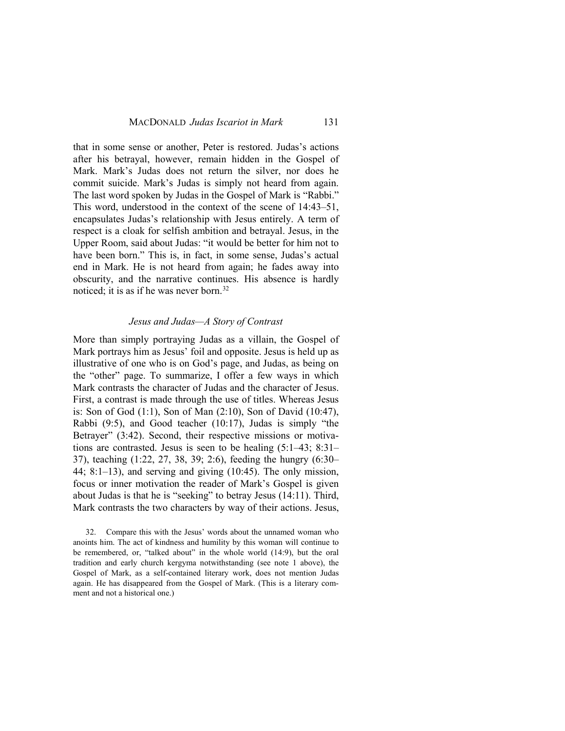that in some sense or another, Peter is restored. Judas's actions after his betrayal, however, remain hidden in the Gospel of Mark. Mark's Judas does not return the silver, nor does he commit suicide. Mark's Judas is simply not heard from again. The last word spoken by Judas in the Gospel of Mark is "Rabbi." This word, understood in the context of the scene of 14:43–51, encapsulates Judas's relationship with Jesus entirely. A term of respect is a cloak for selfish ambition and betrayal. Jesus, in the Upper Room, said about Judas: "it would be better for him not to have been born." This is, in fact, in some sense, Judas's actual end in Mark. He is not heard from again; he fades away into obscurity, and the narrative continues. His absence is hardly noticed; it is as if he was never born.<sup>[32](#page-12-0)</sup>

#### *Jesus and Judas—A Story of Contrast*

More than simply portraying Judas as a villain, the Gospel of Mark portrays him as Jesus' foil and opposite. Jesus is held up as illustrative of one who is on God's page, and Judas, as being on the "other" page. To summarize, I offer a few ways in which Mark contrasts the character of Judas and the character of Jesus. First, a contrast is made through the use of titles. Whereas Jesus is: Son of God (1:1), Son of Man (2:10), Son of David (10:47), Rabbi (9:5), and Good teacher (10:17), Judas is simply "the Betrayer" (3:42). Second, their respective missions or motivations are contrasted. Jesus is seen to be healing (5:1–43; 8:31– 37), teaching (1:22, 27, 38, 39; 2:6), feeding the hungry (6:30– 44; 8:1–13), and serving and giving (10:45). The only mission, focus or inner motivation the reader of Mark's Gospel is given about Judas is that he is "seeking" to betray Jesus (14:11). Third, Mark contrasts the two characters by way of their actions. Jesus,

<span id="page-12-0"></span><sup>32.</sup> Compare this with the Jesus' words about the unnamed woman who anoints him. The act of kindness and humility by this woman will continue to be remembered, or, "talked about" in the whole world (14:9), but the oral tradition and early church kergyma notwithstanding (see note 1 above), the Gospel of Mark, as a self-contained literary work, does not mention Judas again. He has disappeared from the Gospel of Mark. (This is a literary comment and not a historical one.)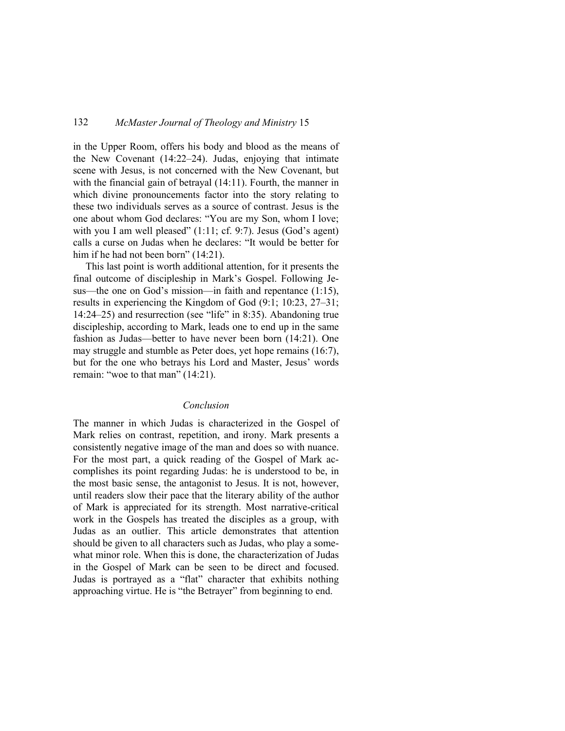in the Upper Room, offers his body and blood as the means of the New Covenant (14:22–24). Judas, enjoying that intimate scene with Jesus, is not concerned with the New Covenant, but with the financial gain of betrayal (14:11). Fourth, the manner in which divine pronouncements factor into the story relating to these two individuals serves as a source of contrast. Jesus is the one about whom God declares: "You are my Son, whom I love; with you I am well pleased"  $(1:11; cf. 9:7)$ . Jesus  $(God's agent)$ calls a curse on Judas when he declares: "It would be better for him if he had not been born" (14:21).

This last point is worth additional attention, for it presents the final outcome of discipleship in Mark's Gospel. Following Jesus—the one on God's mission—in faith and repentance (1:15), results in experiencing the Kingdom of God (9:1; 10:23, 27–31; 14:24–25) and resurrection (see "life" in 8:35). Abandoning true discipleship, according to Mark, leads one to end up in the same fashion as Judas—better to have never been born (14:21). One may struggle and stumble as Peter does, yet hope remains (16:7), but for the one who betrays his Lord and Master, Jesus' words remain: "woe to that man" (14:21).

### *Conclusion*

The manner in which Judas is characterized in the Gospel of Mark relies on contrast, repetition, and irony. Mark presents a consistently negative image of the man and does so with nuance. For the most part, a quick reading of the Gospel of Mark accomplishes its point regarding Judas: he is understood to be, in the most basic sense, the antagonist to Jesus. It is not, however, until readers slow their pace that the literary ability of the author of Mark is appreciated for its strength. Most narrative-critical work in the Gospels has treated the disciples as a group, with Judas as an outlier. This article demonstrates that attention should be given to all characters such as Judas, who play a somewhat minor role. When this is done, the characterization of Judas in the Gospel of Mark can be seen to be direct and focused. Judas is portrayed as a "flat" character that exhibits nothing approaching virtue. He is "the Betrayer" from beginning to end.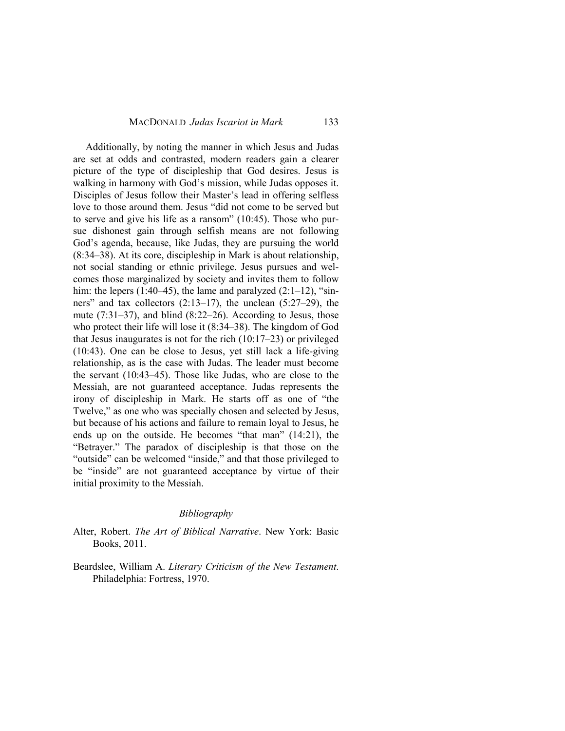Additionally, by noting the manner in which Jesus and Judas are set at odds and contrasted, modern readers gain a clearer picture of the type of discipleship that God desires. Jesus is walking in harmony with God's mission, while Judas opposes it. Disciples of Jesus follow their Master's lead in offering selfless love to those around them. Jesus "did not come to be served but to serve and give his life as a ransom" (10:45). Those who pursue dishonest gain through selfish means are not following God's agenda, because, like Judas, they are pursuing the world (8:34–38). At its core, discipleship in Mark is about relationship, not social standing or ethnic privilege. Jesus pursues and welcomes those marginalized by society and invites them to follow him: the lepers  $(1:40-45)$ , the lame and paralyzed  $(2:1-12)$ , "sinners" and tax collectors (2:13–17), the unclean (5:27–29), the mute (7:31–37), and blind (8:22–26). According to Jesus, those who protect their life will lose it (8:34–38). The kingdom of God that Jesus inaugurates is not for the rich (10:17–23) or privileged (10:43). One can be close to Jesus, yet still lack a life-giving relationship, as is the case with Judas. The leader must become the servant (10:43–45). Those like Judas, who are close to the Messiah, are not guaranteed acceptance. Judas represents the irony of discipleship in Mark. He starts off as one of "the Twelve," as one who was specially chosen and selected by Jesus, but because of his actions and failure to remain loyal to Jesus, he ends up on the outside. He becomes "that man" (14:21), the "Betrayer." The paradox of discipleship is that those on the "outside" can be welcomed "inside," and that those privileged to be "inside" are not guaranteed acceptance by virtue of their initial proximity to the Messiah.

#### *Bibliography*

- Alter, Robert. *The Art of Biblical Narrative*. New York: Basic Books, 2011.
- Beardslee, William A. *Literary Criticism of the New Testament*. Philadelphia: Fortress, 1970.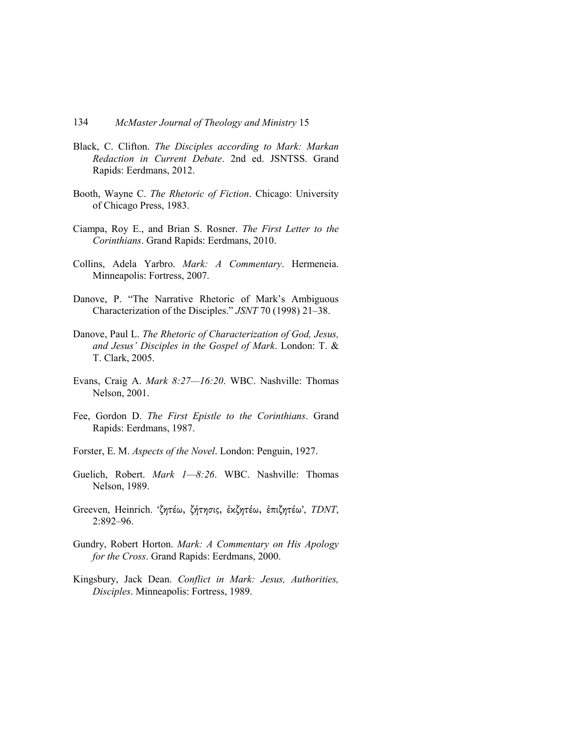- Black, C. Clifton. *The Disciples according to Mark: Markan Redaction in Current Debate*. 2nd ed. JSNTSS. Grand Rapids: Eerdmans, 2012.
- Booth, Wayne C. *The Rhetoric of Fiction*. Chicago: University of Chicago Press, 1983.
- Ciampa, Roy E., and Brian S. Rosner. *The First Letter to the Corinthians*. Grand Rapids: Eerdmans, 2010.
- Collins, Adela Yarbro. *Mark: A Commentary*. Hermeneia. Minneapolis: Fortress, 2007.
- Danove, P. "The Narrative Rhetoric of Mark's Ambiguous Characterization of the Disciples." *JSNT* 70 (1998) 21–38.
- Danove, Paul L. *The Rhetoric of Characterization of God, Jesus, and Jesus' Disciples in the Gospel of Mark*. London: T. & T. Clark, 2005.
- Evans, Craig A. *Mark 8:27—16:20*. WΒC. Nashville: Thomas Nelson, 2001.
- Fee, Gordon D. *The First Epistle to the Corinthians*. Grand Rapids: Eerdmans, 1987.
- Forster, E. M. *Aspects of the Novel*. London: Penguin, 1927.
- Guelich, Robert. *Mark 1—8:26*. WBC. Nashville: Thomas Nelson, 1989.
- Greeven, Heinrich. 'ζητέω, ζήτησις, ἐκζητέω, ἐπιζητέω', *TDNT*, 2:892–96.
- Gundry, Robert Horton. *Mark: A Commentary on His Apology for the Cross*. Grand Rapids: Eerdmans, 2000.
- Kingsbury, Jack Dean. *Conflict in Mark: Jesus, Authorities, Disciples*. Minneapolis: Fortress, 1989.